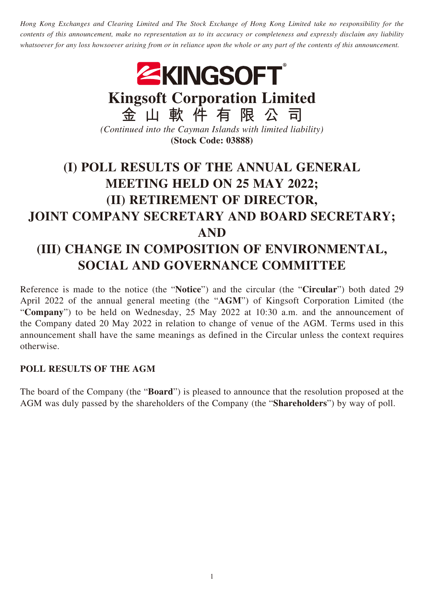*Hong Kong Exchanges and Clearing Limited and The Stock Exchange of Hong Kong Limited take no responsibility for the contents of this announcement, make no representation as to its accuracy or completeness and expressly disclaim any liability whatsoever for any loss howsoever arising from or in reliance upon the whole or any part of the contents of this announcement.*



**Kingsoft Corporation Limited**

**金山軟件有限公司** *(Continued into the Cayman Islands with limited liability)* **(Stock Code: 03888)**

## **(I) POLL RESULTS OF THE ANNUAL GENERAL MEETING HELD ON 25 MAY 2022; (II) RETIREMENT OF DIRECTOR, JOINT COMPANY SECRETARY AND BOARD SECRETARY; AND (III) CHANGE IN COMPOSITION OF ENVIRONMENTAL, SOCIAL AND GOVERNANCE COMMITTEE**

Reference is made to the notice (the "**Notice**") and the circular (the "**Circular**") both dated 29 April 2022 of the annual general meeting (the "**AGM**") of Kingsoft Corporation Limited (the "**Company**") to be held on Wednesday, 25 May 2022 at 10:30 a.m. and the announcement of the Company dated 20 May 2022 in relation to change of venue of the AGM. Terms used in this announcement shall have the same meanings as defined in the Circular unless the context requires otherwise.

## **POLL RESULTS OF THE AGM**

The board of the Company (the "**Board**") is pleased to announce that the resolution proposed at the AGM was duly passed by the shareholders of the Company (the "**Shareholders**") by way of poll.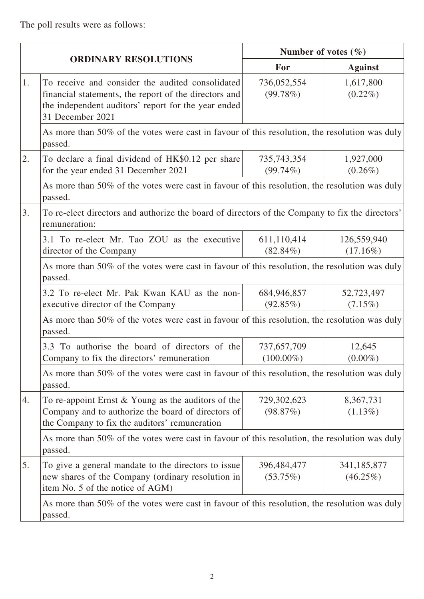The poll results were as follows:

| ORDINARY RESOLUTIONS |                                                                                                                                                                                      | Number of votes $(\% )$     |                            |  |
|----------------------|--------------------------------------------------------------------------------------------------------------------------------------------------------------------------------------|-----------------------------|----------------------------|--|
|                      |                                                                                                                                                                                      | For                         | <b>Against</b>             |  |
| 1.                   | To receive and consider the audited consolidated<br>financial statements, the report of the directors and<br>the independent auditors' report for the year ended<br>31 December 2021 | 736,052,554<br>(99.78%)     | 1,617,800<br>$(0.22\%)$    |  |
|                      | As more than 50% of the votes were cast in favour of this resolution, the resolution was duly<br>passed.                                                                             |                             |                            |  |
| 2.                   | To declare a final dividend of HK\$0.12 per share<br>for the year ended 31 December 2021                                                                                             | 735,743,354<br>$(99.74\%)$  | 1,927,000<br>$(0.26\%)$    |  |
|                      | As more than 50% of the votes were cast in favour of this resolution, the resolution was duly<br>passed.                                                                             |                             |                            |  |
| 3.                   | To re-elect directors and authorize the board of directors of the Company to fix the directors'<br>remuneration:                                                                     |                             |                            |  |
|                      | 3.1 To re-elect Mr. Tao ZOU as the executive<br>director of the Company                                                                                                              | 611,110,414<br>$(82.84\%)$  | 126,559,940<br>$(17.16\%)$ |  |
|                      | As more than 50% of the votes were cast in favour of this resolution, the resolution was duly<br>passed.                                                                             |                             |                            |  |
|                      | 3.2 To re-elect Mr. Pak Kwan KAU as the non-<br>executive director of the Company                                                                                                    | 684,946,857<br>(92.85%)     | 52,723,497<br>$(7.15\%)$   |  |
|                      | As more than 50% of the votes were cast in favour of this resolution, the resolution was duly<br>passed.                                                                             |                             |                            |  |
|                      | 3.3 To authorise the board of directors of the<br>Company to fix the directors' remuneration                                                                                         | 737,657,709<br>$(100.00\%)$ | 12,645<br>$(0.00\%)$       |  |
|                      | As more than 50% of the votes were cast in favour of this resolution, the resolution was duly<br>passed.                                                                             |                             |                            |  |
| 4.                   | To re-appoint Ernst $&$ Young as the auditors of the<br>Company and to authorize the board of directors of<br>the Company to fix the auditors' remuneration                          | 729,302,623<br>(98.87%)     | 8,367,731<br>$(1.13\%)$    |  |
|                      | As more than 50% of the votes were cast in favour of this resolution, the resolution was duly<br>passed.                                                                             |                             |                            |  |
| 5.                   | To give a general mandate to the directors to issue<br>new shares of the Company (ordinary resolution in<br>item No. 5 of the notice of AGM)                                         | 396,484,477<br>(53.75%)     | 341,185,877<br>$(46.25\%)$ |  |
|                      | As more than 50% of the votes were cast in favour of this resolution, the resolution was duly<br>passed.                                                                             |                             |                            |  |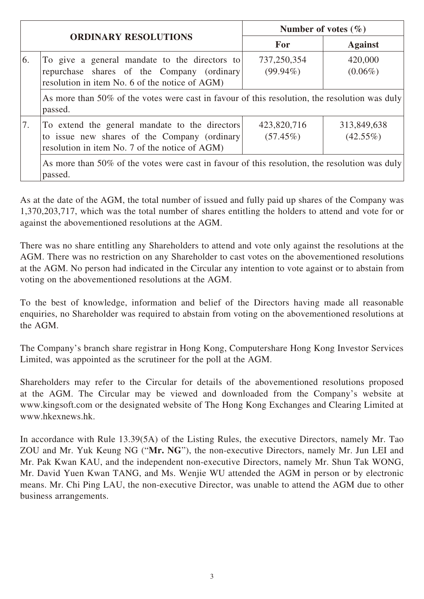| <b>ORDINARY RESOLUTIONS</b> |                                                                                                                                                  | Number of votes $(\% )$    |                            |
|-----------------------------|--------------------------------------------------------------------------------------------------------------------------------------------------|----------------------------|----------------------------|
|                             |                                                                                                                                                  | <b>For</b>                 | <b>Against</b>             |
| 6.                          | To give a general mandate to the directors to<br>repurchase shares of the Company (ordinary<br>resolution in item No. 6 of the notice of AGM)    | 737,250,354<br>$(99.94\%)$ | 420,000<br>$(0.06\%)$      |
|                             | As more than 50% of the votes were cast in favour of this resolution, the resolution was duly<br>passed.                                         |                            |                            |
| 7.                          | To extend the general mandate to the directors<br>to issue new shares of the Company (ordinary<br>resolution in item No. 7 of the notice of AGM) | 423,820,716<br>$(57.45\%)$ | 313,849,638<br>$(42.55\%)$ |
|                             | As more than 50% of the votes were cast in favour of this resolution, the resolution was duly<br>passed.                                         |                            |                            |

As at the date of the AGM, the total number of issued and fully paid up shares of the Company was 1,370,203,717, which was the total number of shares entitling the holders to attend and vote for or against the abovementioned resolutions at the AGM.

There was no share entitling any Shareholders to attend and vote only against the resolutions at the AGM. There was no restriction on any Shareholder to cast votes on the abovementioned resolutions at the AGM. No person had indicated in the Circular any intention to vote against or to abstain from voting on the abovementioned resolutions at the AGM.

To the best of knowledge, information and belief of the Directors having made all reasonable enquiries, no Shareholder was required to abstain from voting on the abovementioned resolutions at the AGM.

The Company's branch share registrar in Hong Kong, Computershare Hong Kong Investor Services Limited, was appointed as the scrutineer for the poll at the AGM.

Shareholders may refer to the Circular for details of the abovementioned resolutions proposed at the AGM. The Circular may be viewed and downloaded from the Company's website at www.kingsoft.com or the designated website of The Hong Kong Exchanges and Clearing Limited at www.hkexnews.hk.

In accordance with Rule 13.39(5A) of the Listing Rules, the executive Directors, namely Mr. Tao ZOU and Mr. Yuk Keung NG ("**Mr. NG**"), the non-executive Directors, namely Mr. Jun LEI and Mr. Pak Kwan KAU, and the independent non-executive Directors, namely Mr. Shun Tak WONG, Mr. David Yuen Kwan TANG, and Ms. Wenjie WU attended the AGM in person or by electronic means. Mr. Chi Ping LAU, the non-executive Director, was unable to attend the AGM due to other business arrangements.